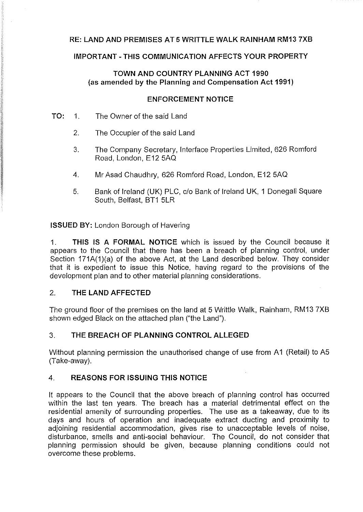# **RE: LAND AND PREMISES AT 5 WRITTLE WALK RAINHAM RM13 7XB**

## **IMPORTANT-THIS COMMUNICATION AFFECTS YOUR PROPERTY**

## **TOWN AND COUNTRY PLANNING ACT 1990** (as **amended by the Planning and Compensation Act 1991)**

#### **ENFORCEMENT NOTICE**

- **TO:** 1. The Owner of the said Land
	- 2. The Occupier of the said Land
	- 3. The Company Secretary, Interface Properties Limited, 626 Romford Road, London, E12 5AQ
	- 4. Mr Asad Chaudhry, 626 Romford Road, London, E12 5AQ
	- 5. Bank of Ireland (UK) PLC, c/o Bank of Ireland UK, 1 Donegal! Square South, Belfast, BT1 5LR

**ISSUED BY:** London Borough of Havering

1. **THIS IS A FORMAL NOTICE** which is issued by the Council because it appears to the Council that there has been a breach of planning control, under Section 171A(1)(a) of the above Act, at the Land described below. They consider that it is expedient to issue this Notice, having regard to the provisions of the development plan and to other material planning considerations.

## 2. **THE LAND AFFECTED**

The ground floor of the premises on the land at 5 Writtle Walk, Rainham, RM13 7XB shown edged Black on the attached plan ("the Land").

## 3. **THE BREACH OF PLANNING CONTROL ALLEGED**

Without planning permission the unauthorised change of use from A1 (Retail) to A5 (Take-away).

## 4. **REASONS FOR ISSUING THIS NOTICE**

It appears to the Council that the above breach of planning control has occurred within the last ten years. The breach has a material detrimental effect on the residential amenity of surrounding properties. The use as a takeaway, due to its days and hours of operation and inadequate extract ducting and proximity to adjoining residential accommodation, gives rise to unacceptable levels of noise, disturbance, smells and anti-social behaviour. The Council, do not consider that planning permission should be given, because planning conditions could not overcome these problems.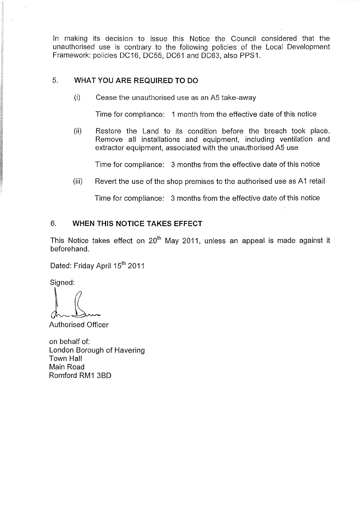In making its decision to issue this Notice the Council considered that the unauthorised use is contrary to the following policies of the Local Development Framework: policies DC16, DC55, DC61 and DC63, also PPS1.

## 5. **WHAT YOU ARE REQUIRED TO DO**

 $(i)$  Cease the unauthorised use as an A5 take-away

Time for compliance: 1 month from the effective date of this notice

(ii) Restore the Land to its condition before the breach took place. Remove all installations and equipment, including ventilation and extractor equipment, associated with the unauthorised A5 use

Time for compliance: 3 months from the effective date of this notice

(iii) Revert the use of the shop premises to the authorised use as A1 retail

Time for compliance: 3 months from the effective date of this notice

#### 6. **WHEN THIS NOTICE TAKES EFFECT**

This Notice takes effect on  $20<sup>th</sup>$  May 2011, unless an appeal is made against it beforehand.

Dated: Friday April 15<sup>th</sup> 2011

Signed:

Authorised Officer

on behalf of: London Borough of Havering Town Hall Main Road Romford RM1 3BD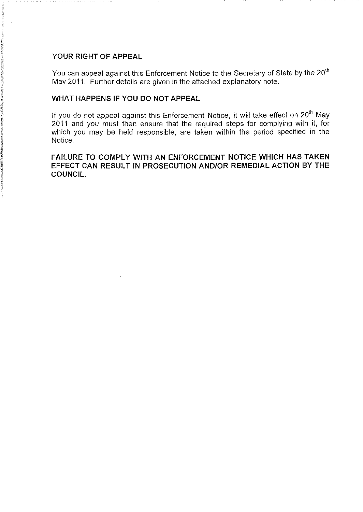# **YOUR RIGHT OF APPEAL**

You can appeal against this Enforcement Notice to the Secretary of State by the 20 $^{\rm th}$ May 2011. Further details are given in the attached explanatory note.

#### **WHAT HAPPENS IF YOU DO NOT APPEAL**

If you do not appeal against this Enforcement Notice, it will take effect on 20<sup>th</sup> May 2011 and you must then ensure that the required steps for complying with it, for which you may be held responsible, are taken within the period specified in the Notice.

### **FAILURE TO COMPLY WITH AN ENFORCEMENT NOTICE WHICH HAS TAKEN EFFECT CAN RESULT IN PROSECUTION AND/OR REMEDIAL ACTION BY THE COUNCIL.**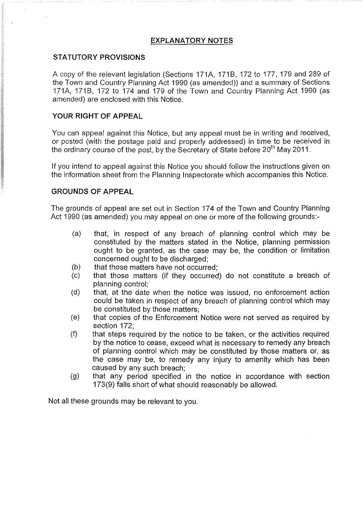# **EXPLANATORY NOTES**

## **STATUTORY PROVISIONS**

A copy of the relevant legislation (Sections 171A, 171B, 172 to 177, 179 and 289 of the Town and Country Planning Act 1990 (as amended)) and a summary of Sections 171A, 171B, 172 to 174 and 179 of the Town and Country Planning Act 1990 (as amended) are enclosed with this Notice.

## **YOUR RIGHT OF APPEAL**

You can appeal against this Notice, but any appeal must be in writing and received, or posted (with the postage paid and properly addressed) in time to be received in the ordinary course of the post, by the Secretary of State before  $20<sup>th</sup>$  May 2011.

If you intend to appeal against this Notice you should follow the instructions given on the information sheet from the Planning Inspectorate which accompanies this Notice.

### **GROUNDS OF APPEAL**

The grounds of appeal are set out in Section 174 of the Town and Country Planning Act 1990 (as amended) you may appeal on one or more of the following grounds:

- (a) that, in respect of any breach of planning control which may be constituted by the matters stated in the Notice, planning permission ought to be granted, as the case may be, the condition or limitation concerned ought to be discharged;
- (b) that those matters have not occurred;
- (c) that those matters (if they occurred) do not constitute a breach of planning control;
- (d) that, at the date when the notice was issued, no enforcement action could be taken in respect of any breach of planning control which may be constituted by those matters;
- (e) that copies of the Enforcement Notice were not served as required by section 172;
- $(f)$  that steps required by the notice to be taken, or the activities required by the notice to cease, exceed what is necessary to remedy any breach of planning control which may be constituted by those matters or, as the case may be, to remedy any injury to amenity which has been caused by any such breach;
- (g) that any period specified in the notice in accordance with section 173(9) falls short of what should reasonably be allowed.

Not all these grounds may be relevant to you.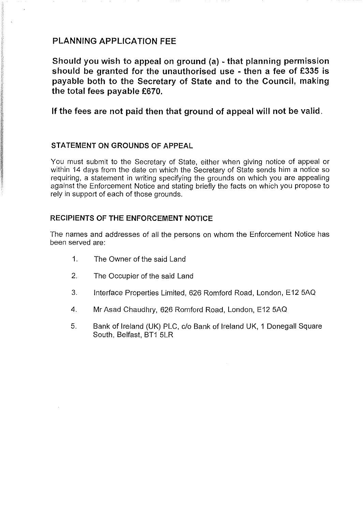# **PLANNING APPLICATION FEE**

**Should you wish to appeal on ground (a) - that planning permission should be granted for the unauthorised use - then a fee of £335 is payable both to the Secretary of State and to the Council, making the total fees payable £670.** 

**If the fees are not paid then that ground of appeal will not be valid.** 

## **STATEMENT ON GROUNDS OF APPEAL**

You must submit to the Secretary of State, either when giving notice of appeal or within 14 days from the date on which the Secretary of State sends him a notice so requiring, a statement in writing specifying the grounds on which you are appealing against the Enforcement Notice and stating briefly the facts on which you propose to rely in support of each of those grounds.

### **RECIPIENTS OF THE ENFORCEMENT NOTICE**

The names and addresses of all the persons on whom the Enforcement Notice has been served are:

- 1. The Owner of the said Land
- 2. The Occupier of the said Land
- 3. Interface Properties Limited, 626 Romford Road, London, E12 5AQ
- 4. Mr Asad Chaudhry, 626 Romford Road, London, E12 5AQ
- 5. Bank of Ireland (UK) PLC, c/o Bank of Ireland UK, 1 Donegal! Square South, Belfast, BT1 5LR